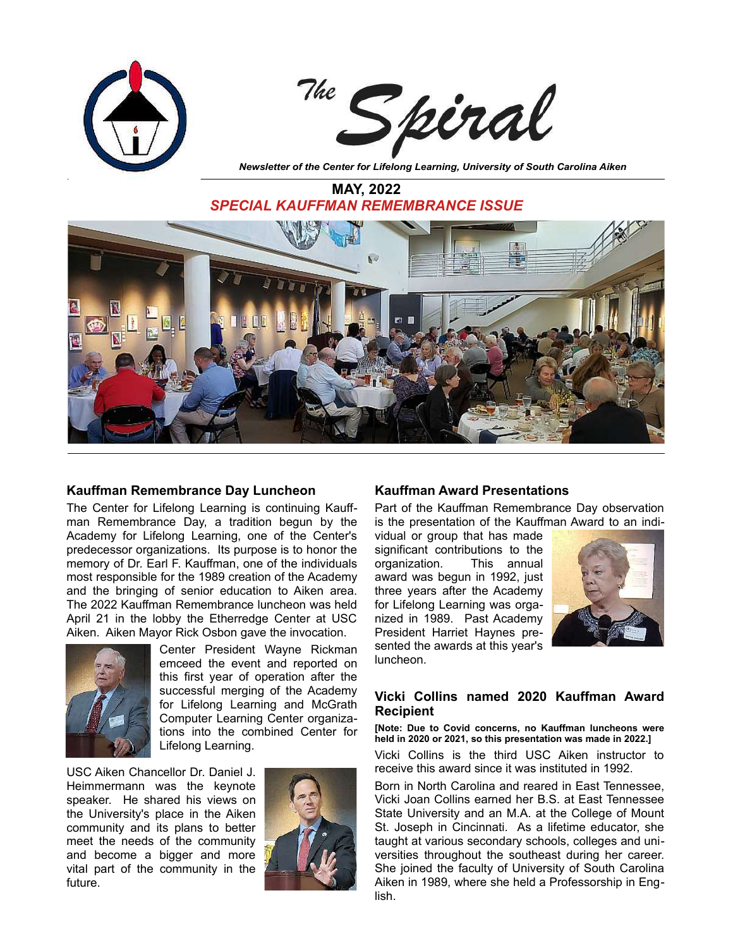

**MAY, 2022** *SPECIAL KAUFFMAN REMEMBRANCE ISSUE*



## **Kauffman Remembrance Day Luncheon**

The Center for Lifelong Learning is continuing Kauffman Remembrance Day, a tradition begun by the Academy for Lifelong Learning, one of the Center's predecessor organizations. Its purpose is to honor the memory of Dr. Earl F. Kauffman, one of the individuals most responsible for the 1989 creation of the Academy and the bringing of senior education to Aiken area. The 2022 Kauffman Remembrance luncheon was held April 21 in the lobby the Etherredge Center at USC Aiken. Aiken Mayor Rick Osbon gave the invocation.



Center President Wayne Rickman emceed the event and reported on this first year of operation after the successful merging of the Academy for Lifelong Learning and McGrath Computer Learning Center organizations into the combined Center for Lifelong Learning.

USC Aiken Chancellor Dr. Daniel J. Heimmermann was the keynote speaker. He shared his views on the University's place in the Aiken community and its plans to better meet the needs of the community and become a bigger and more vital part of the community in the future.



# **Kauffman Award Presentations**

Part of the Kauffman Remembrance Day observation is the presentation of the Kauffman Award to an indi-

vidual or group that has made significant contributions to the organization. This annual award was begun in 1992, just three years after the Academy for Lifelong Learning was organized in 1989. Past Academy President Harriet Haynes presented the awards at this year's luncheon.



# **Vicki Collins named 2020 Kauffman Award Recipient**

**[Note: Due to Covid concerns, no Kauffman luncheons were held in 2020 or 2021, so this presentation was made in 2022.]**

Vicki Collins is the third USC Aiken instructor to receive this award since it was instituted in 1992.

Born in North Carolina and reared in East Tennessee, Vicki Joan Collins earned her B.S. at East Tennessee State University and an M.A. at the College of Mount St. Joseph in Cincinnati. As a lifetime educator, she taught at various secondary schools, colleges and universities throughout the southeast during her career. She joined the faculty of University of South Carolina Aiken in 1989, where she held a Professorship in English.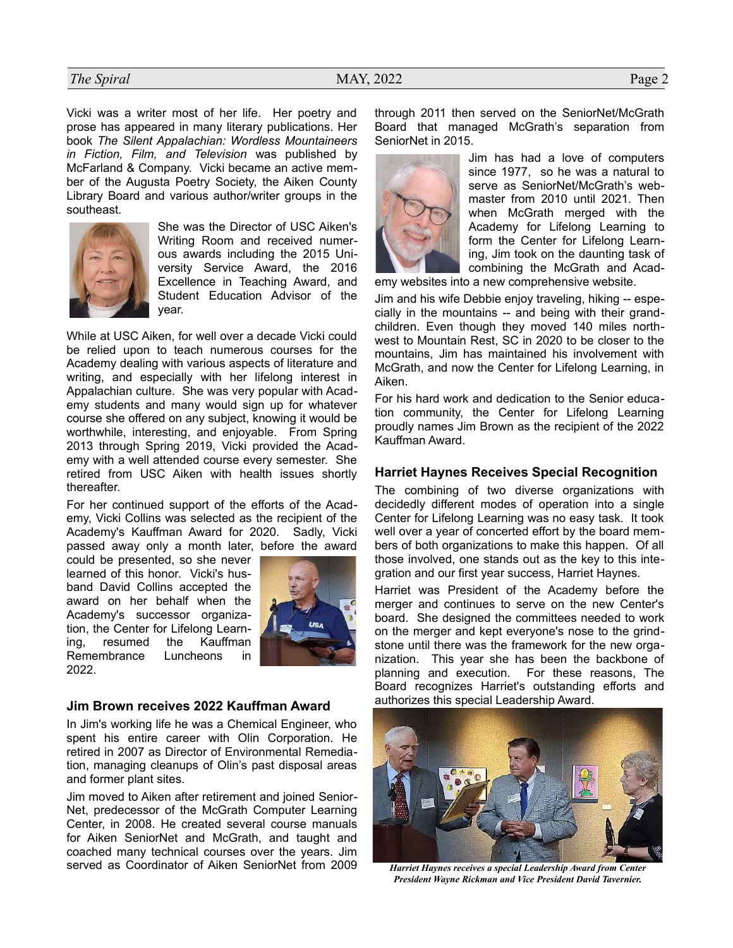# *The Spiral* Page 2

Vicki was a writer most of her life. Her poetry and prose has appeared in many literary publications. Her book *The Silent Appalachian: Wordless Mountaineers in Fiction, Film, and Television* was published by McFarland & Company. Vicki became an active member of the Augusta Poetry Society, the Aiken County Library Board and various author/writer groups in the southeast.



She was the Director of USC Aiken's Writing Room and received numerous awards including the 2015 University Service Award, the 2016 Excellence in Teaching Award, and Student Education Advisor of the year.

While at USC Aiken, for well over a decade Vicki could be relied upon to teach numerous courses for the Academy dealing with various aspects of literature and writing, and especially with her lifelong interest in Appalachian culture. She was very popular with Academy students and many would sign up for whatever course she offered on any subject, knowing it would be worthwhile, interesting, and enjoyable. From Spring 2013 through Spring 2019, Vicki provided the Academy with a well attended course every semester. She retired from USC Aiken with health issues shortly thereafter.

For her continued support of the efforts of the Academy, Vicki Collins was selected as the recipient of the Academy's Kauffman Award for 2020. Sadly, Vicki passed away only a month later, before the award

could be presented, so she never learned of this honor. Vicki's husband David Collins accepted the award on her behalf when the Academy's successor organization, the Center for Lifelong Learning, resumed the Kauffman Remembrance Luncheons in 2022.



## **Jim Brown receives 2022 Kauffman Award**

In Jim's working life he was a Chemical Engineer, who spent his entire career with Olin Corporation. He retired in 2007 as Director of Environmental Remediation, managing cleanups of Olin's past disposal areas and former plant sites.

Jim moved to Aiken after retirement and joined Senior-Net, predecessor of the McGrath Computer Learning Center, in 2008. He created several course manuals for Aiken SeniorNet and McGrath, and taught and coached many technical courses over the years. Jim served as Coordinator of Aiken SeniorNet from 2009 through 2011 then served on the SeniorNet/McGrath Board that managed McGrath's separation from SeniorNet in 2015.



Jim has had a love of computers since 1977, so he was a natural to serve as SeniorNet/McGrath's webmaster from 2010 until 2021. Then when McGrath merged with the Academy for Lifelong Learning to form the Center for Lifelong Learning, Jim took on the daunting task of combining the McGrath and Acad-

emy websites into a new comprehensive website.

Jim and his wife Debbie enjoy traveling, hiking -- especially in the mountains -- and being with their grandchildren. Even though they moved 140 miles northwest to Mountain Rest, SC in 2020 to be closer to the mountains, Jim has maintained his involvement with McGrath, and now the Center for Lifelong Learning, in Aiken.

For his hard work and dedication to the Senior education community, the Center for Lifelong Learning proudly names Jim Brown as the recipient of the 2022 Kauffman Award.

## **Harriet Haynes Receives Special Recognition**

The combining of two diverse organizations with decidedly different modes of operation into a single Center for Lifelong Learning was no easy task. It took well over a year of concerted effort by the board members of both organizations to make this happen. Of all those involved, one stands out as the key to this integration and our first year success, Harriet Haynes.

Harriet was President of the Academy before the merger and continues to serve on the new Center's board. She designed the committees needed to work on the merger and kept everyone's nose to the grindstone until there was the framework for the new organization. This year she has been the backbone of planning and execution. For these reasons, The Board recognizes Harriet's outstanding efforts and authorizes this special Leadership Award.



*Harriet Haynes receives a special Leadership Award from Center President Wayne Rickman and Vice President David Tavernier.*